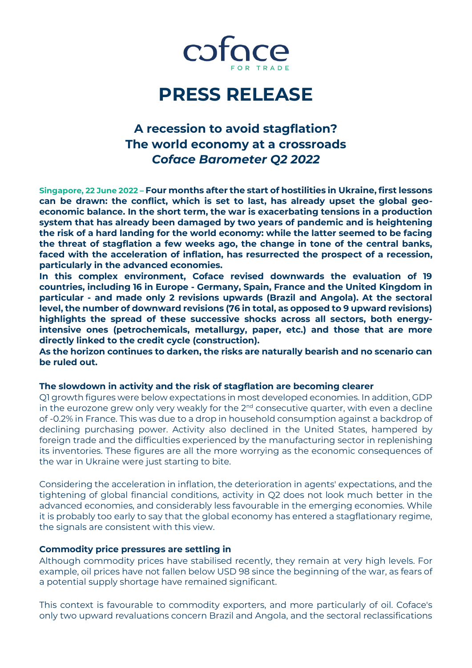

# **PRESS RELEASE**

## **A recession to avoid stagflation? The world economy at a crossroads** *Coface Barometer Q2 2022*

**Singapore, 22 June 2022 – Four months after the start of hostilities in Ukraine, first lessons can be drawn: the conflict, which is set to last, has already upset the global geoeconomic balance. In the short term, the war is exacerbating tensions in a production system that has already been damaged by two years of pandemic and is heightening the risk of a hard landing for the world economy: while the latter seemed to be facing the threat of stagflation a few weeks ago, the change in tone of the central banks, faced with the acceleration of inflation, has resurrected the prospect of a recession, particularly in the advanced economies.**

**In this complex environment, Coface revised downwards the evaluation of 19 countries, including 16 in Europe - Germany, Spain, France and the United Kingdom in particular - and made only 2 revisions upwards (Brazil and Angola). At the sectoral level, the number of downward revisions (76 in total, as opposed to 9 upward revisions) highlights the spread of these successive shocks across all sectors, both energyintensive ones (petrochemicals, metallurgy, paper, etc.) and those that are more directly linked to the credit cycle (construction).** 

**As the horizon continues to darken, the risks are naturally bearish and no scenario can be ruled out.**

### **The slowdown in activity and the risk of stagflation are becoming clearer**

Q1 growth figures were below expectations in most developed economies. In addition, GDP in the eurozone grew only very weakly for the  $2<sup>nd</sup>$  consecutive quarter, with even a decline of -0.2% in France. This was due to a drop in household consumption against a backdrop of declining purchasing power. Activity also declined in the United States, hampered by foreign trade and the difficulties experienced by the manufacturing sector in replenishing its inventories. These figures are all the more worrying as the economic consequences of the war in Ukraine were just starting to bite.

Considering the acceleration in inflation, the deterioration in agents' expectations, and the tightening of global financial conditions, activity in Q2 does not look much better in the advanced economies, and considerably less favourable in the emerging economies. While it is probably too early to say that the global economy has entered a stagflationary regime, the signals are consistent with this view.

#### **Commodity price pressures are settling in**

Although commodity prices have stabilised recently, they remain at very high levels. For example, oil prices have not fallen below USD 98 since the beginning of the war, as fears of a potential supply shortage have remained significant.

This context is favourable to commodity exporters, and more particularly of oil. Coface's only two upward revaluations concern Brazil and Angola, and the sectoral reclassifications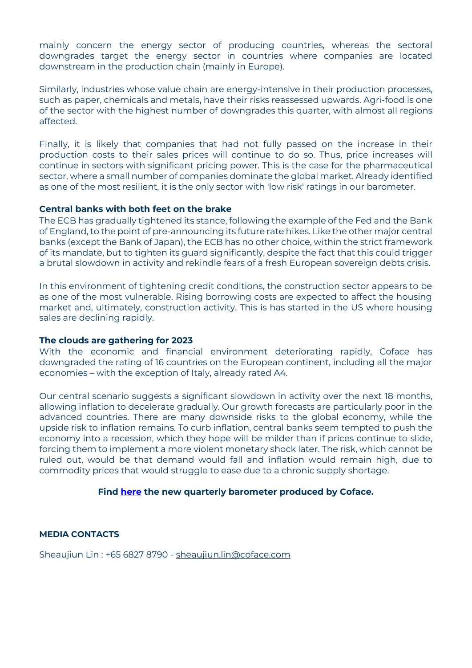mainly concern the energy sector of producing countries, whereas the sectoral downgrades target the energy sector in countries where companies are located downstream in the production chain (mainly in Europe).

Similarly, industries whose value chain are energy-intensive in their production processes, such as paper, chemicals and metals, have their risks reassessed upwards. Agri-food is one of the sector with the highest number of downgrades this quarter, with almost all regions affected.

Finally, it is likely that companies that had not fully passed on the increase in their production costs to their sales prices will continue to do so. Thus, price increases will continue in sectors with significant pricing power. This is the case for the pharmaceutical sector, where a small number of companies dominate the global market. Already identified as one of the most resilient, it is the only sector with 'low risk' ratings in our barometer.

### **Central banks with both feet on the brake**

The ECB has gradually tightened its stance, following the example of the Fed and the Bank of England, to the point of pre-announcing its future rate hikes. Like the other major central banks (except the Bank of Japan), the ECB has no other choice, within the strict framework of its mandate, but to tighten its guard significantly, despite the fact that this could trigger a brutal slowdown in activity and rekindle fears of a fresh European sovereign debts crisis.

In this environment of tightening credit conditions, the construction sector appears to be as one of the most vulnerable. Rising borrowing costs are expected to affect the housing market and, ultimately, construction activity. This is has started in the US where housing sales are declining rapidly.

### **The clouds are gathering for 2023**

With the economic and financial environment deteriorating rapidly, Coface has downgraded the rating of 16 countries on the European continent, including all the major economies – with the exception of Italy, already rated A4.

Our central scenario suggests a significant slowdown in activity over the next 18 months, allowing inflation to decelerate gradually. Our growth forecasts are particularly poor in the advanced countries. There are many downside risks to the global economy, while the upside risk to inflation remains. To curb inflation, central banks seem tempted to push the economy into a recession, which they hope will be milder than if prices continue to slide, forcing them to implement a more violent monetary shock later. The risk, which cannot be ruled out, would be that demand would fall and inflation would remain high, due to commodity prices that would struggle to ease due to a chronic supply shortage.

### **Find [here](https://www.coface.com.sg/News-Publications-Events/Publications/Country-Sector-Risk-Barometer-Q2-2022) the new quarterly barometer produced by Coface.**

### **MEDIA CONTACTS**

Sheaujiun Lin: +65 6827 8790 - [sheaujiun.lin@coface.com](mailto:sheaujiun.lin@coface.com)